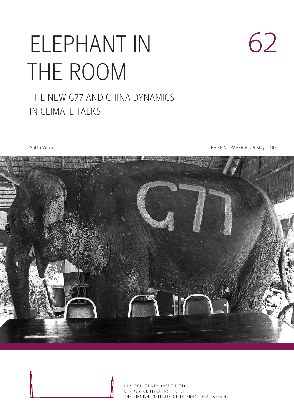# ELEPHANT IN THE ROOM

### The New G77 and China Dynamics in Climate Talks

Antto Vihma **BRIEFING PAPER 6, 26 May 2010** 

62



ULKOPOLIITTINEN INSTITUUTTI UTRIKESPOLITISKA INSTITUTET THE FINNISH INSTITUTE OF INTERNATIONAL AFFAIRS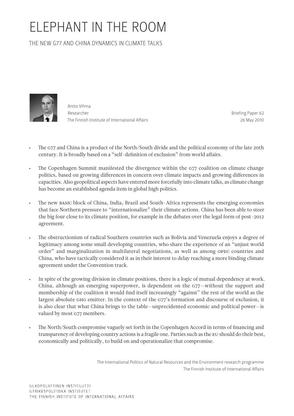## ELEPHANT IN THE ROOM

The New G77 and China Dynamics in Climate Talks



Antto Vihma Researcher The Finnish Institute of International Affairs

Briefing Paper 62 26 May 2010

- • The G77 and China is a product of the North/South divide and the political economy of the late 20th century. It is broadly based on a "self-definition of exclusion" from world affairs.
- The Copenhagen Summit manifested the divergence within the G77 coalition on climate change politics, based on growing differences in concern over climate impacts and growing differences in capacities. Also geopolitical aspects have entered more forcefully into climate talks, as climate change has become an established agenda item in global high politics.
- The new BASIC block of China, India, Brazil and South-Africa represents the emerging economies that face Northern pressure to "internationalize" their climate actions. China has been able to steer the big four close to its climate position, for example in the debates over the legal form of post-2012 agreement.
- The obstructionism of radical Southern countries such as Bolivia and Venezuela enjoys a degree of legitimacy among some small developing countries, who share the experience of an "unjust world order" and marginalization in multilateral negotiations, as well as among OPEC countries and China, who have tactically considered it as in their interest to delay reaching a more binding climate agreement under the Convention track.
- In spite of the growing division in climate positions, there is a logic of mutual dependency at work. China, although an emerging superpower, is dependent on the G77—without the support and membership of the coalition it would find itself increasingly "against" the rest of the world as the largest absolute GHG emitter. In the context of the G77's formation and discourse of exclusion, it is also clear that what China brings to the table—unprecidented economic and political power—is valued by most G77 members.
- The North/South compromise vaguely set forth in the Copenhagen Accord in terms of financing and transparency of developing country actions is a fragile one. Parties such as the EU should do their best, economically and politically, to build on and operationalize that compromise.

The International Politics of Natural Resources and the Environment research programme The Finnish Institute of International Affairs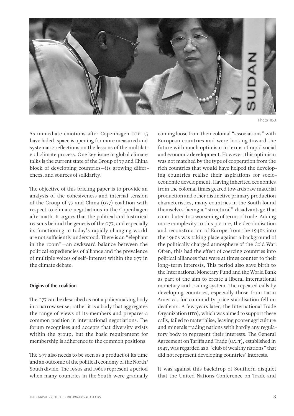

Photo: IISD

As immediate emotions after Copenhagen COP-15 have faded, space is opening for more measured and systematic reflections on the lessons of the multilateral climate process. One key issue in global climate talks is the current state of the Group of 77 and China block of developing countries—its growing differences, and sources of solidarity.

The objective of this briefing paper is to provide an analysis of the cohesiveness and internal tension of the Group of 77 and China (G77) coalition with respect to climate negotiations in the Copenhagen aftermath. It argues that the political and historical reasons behind the genesis of the G77, and especially its functioning in today's rapidly changing world, are not sufficiently understood. There is an "elephant in the room"—an awkward balance between the political expediencies of alliance and the prevalence of multiple voices of self-interest within the G77 in the climate debate.

#### Origins of the coalition

The G77 can be described as not a policymaking body in a narrow sense; rather it is a body that aggregates the range of views of its members and prepares a common position in international negotiations. The forum recognises and accepts that diversity exists within the group, but the basic requirement for membership is adherence to the common positions.

The G77 also needs to be seen as a product of its time and an outcome of the political economy of the North/ South divide. The 1950s and 1960s represent a period when many countries in the South were gradually coming loose from their colonial "associations" with European countries and were looking toward the future with much optimism in terms of rapid social and economic development. However, this optimism was not matched by the type of cooperation from the rich countries that would have helped the developing countries realise their aspirations for socioeconomic development. Having inherited economies from the colonial times geared towards raw material production and other distinctive primary production characteristics, many countries in the South found themselves facing a "structural" disadvantage that contributed to a worsening of terms of trade. Adding more complexity to this picture, the decolonisation and reconstruction of Europe from the 1940s into the 1960s was taking place against a background of the politically charged atmosphere of the Cold War. Often, this had the effect of coercing countries into political alliances that were at times counter to their long-term interests. This period also gave birth to the International Monetary Fund and the World Bank as part of the aim to create a liberal international monetary and trading system. The repeated calls by developing countries, especially those from Latin America, for commodity price stabilisation fell on deaf ears. A few years later, the International Trade Organization (ITO), which was aimed to support these calls, failed to materialise, leaving poorer agriculture and minerals trading nations with hardly any regulatory body to represent their interests. The General Agreement on Tariffs and Trade (GATT), established in 1947, was regarded as a "club of wealthy nations" that did not represent developing countries' interests.

It was against this backdrop of Southern disquiet that the United Nations Conference on Trade and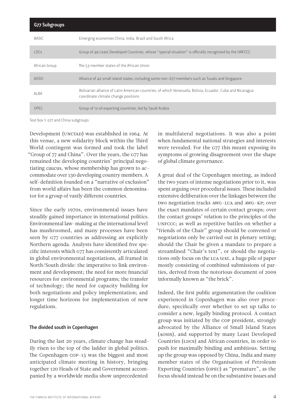| G77 Subgroups |                                                                                                                                                  |
|---------------|--------------------------------------------------------------------------------------------------------------------------------------------------|
| <b>BASIC</b>  | Emerging economies China, India, Brazil and South Africa                                                                                         |
| IDCs          | Group of 49 Least Developed Countries, whose "special situation" is officially recognised by the UNFCCC                                          |
| African Group | The 53 member states of the African Union                                                                                                        |
| <b>AOSIS</b>  | Alliance of 42 small island states, including some non-G77 members such as Tuvalu and Singapore                                                  |
| AI BA         | Bolivarian alliance of Latin American countries, of which Venezuela, Bolivia, Ecuador, Cuba and Nicaragua<br>coordinate climate change positions |
| OPEC.         | Group of 12 oil exporting countries, led by Saudi Arabia                                                                                         |

Text box 1: G77 and China subgroups

Development (UNCTAD) was established in 1964. At this venue, a new solidarity block within the Third World contingent was formed and took the label "Group of 77 and China". Over the years, the G77 has remained the developing countries' principal negotiating caucus, whose membership has grown to accommodate over 130 developing country members. A self-definition founded on a "narrative of exclusion" from world affairs has been the common denominator for a group of vastly different countries.

Since the early 1970s, environmental issues have steadily gained importance in international politics. Environmental law-making at the international level has mushroomed, and many processes have been seen by G77 countries as addressing an explicitly Northern agenda. Analysts have identified five specific interests which G77 has consistently articulated in global environmental negotiations, all framed in North/South divide: the imperative to link environment and development; the need for more financial resources for environmental programs; the transfer of technology; the need for capacity building for both negotiations and policy implementation; and longer time horizons for implementation of new regulations.

#### The divided south in Copenhagen

During the last 20 years, climate change has steadily risen to the top of the ladder in global politics. The Copenhagen COP-15 was the biggest and most anticipated climate meeting in history, bringing together 120 Heads of State and Government accompanied by a worldwide media show unprecedented

in multilateral negotiations. It was also a point when fundamental national strategies and interests were revealed. For the G77 this meant exposing its symptoms of growing disagreement over the shape of global climate governance.

A great deal of the Copenhagen meeting, as indeed the two years of intense negotiations prior to it, was spent arguing over procedural issues. These included extensive deliberation over the linkages between the two negotiation tracks AWG-LCA and AWG-KP; over the exact mandates of certain contact groups; over the contact groups' relation to the principles of the UNFCCC; as well as repetitive battles on whether a "friends of the Chair" group should be convened or negotiations only be carried out in plenary setting; should the Chair be given a mandate to prepare a streamlined "Chair's text", or should the negotiations only focus on the LCA text, a huge pile of paper mostly consisting of combined submissions of parties, derived from the notorious document of 2009 informally known as "the brick".

Indeed, the first public argumentation the coalition experienced in Copenhagen was also over procedure, specifically over whether to set up talks to consider a new, legally binding protocol. A contact group was initiated by the COP president, strongly advocated by the Alliance of Small Island States (AOSIS), and supported by many Least Developed Countries (LDCs) and African countries, in order to push for maximally binding and ambitious. Setting up the group was opposed by China, India and many member states of the Organisation of Petroleum Exporting Countries (OPEC) as "premature", as the focus should instead be on the substantive issues and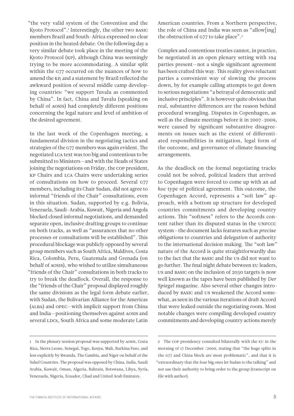"the very valid system of the Convention and the Kyoto Protocol".1 Interestingly, the other two BASIC members Brazil and South-Africa expressed no clear position in the heated debate. On the following day a very similar debate took place in the meeting of the Kyoto Protocol (KP), although China was seemingly trying to be more accommodating. A similar split within the G77 occurred on the nuances of how to amend the KP, and a statement by Brazil reflected the awkward position of several middle camp developing countries: "we support Tuvalu as commented by China". In fact, China and Tuvalu (speaking on behalf of AOSIS) had completely different positions concerning the legal nature and level of ambition of the desired agreement.

In the last week of the Copenhagen meeting, a fundamental division in the negotiating tactics and strategies of the G77 members was again evident. The negotiated LCA text was too big and contentious to be submitted to Ministers—and with the Heads of States joining the negotiations on Friday, the COP president, KP Chairs and LCA Chairs were undertaking series of consultations on how to proceed. Several G77 members, including its Chair Sudan, did not agree to informal "friends of the Chair" consultations, even in this situation. Sudan, supported by e.g. Bolivia, Venezuela, Saudi-Arabia, Kuwait, Nigeria and Angola blocked closed informal negotiations, and demanded separate open, inclusive drafting groups to continue on both tracks, as well as "assurances that no other processes or consultations will be established". This procedural blockage was publicly opposed by several group members such as South Africa, Maldives, Costa Rica, Colombia, Peru, Guatemala and Grenada (on behalf of AOSIS), who wished to utilize simultaneous "friends of the Chair" consultations in both tracks to try to break the deadlock. Overall, the response to the "friends of the Chair" proposal displayed roughly the same divisions as the legal form debate earlier, with Sudan, the Bolivarian Alliance for the Americas (ALBA) and OPEC—with implicit support from China and India—positioning themselves against AOSIS and several LDCs, South Africa and some moderate Latin

American countries. From a Northern perspective, the role of China and India was seen as "allow[ing] the obstruction of G77 to take place".<sup>2</sup>

Complex and contentious treaties cannot, in practice, be negotiated in an open plenary setting with 194 parties present—not a single significant agreement has been crafted this way. This reality gives reluctant parties a convenient way of slowing the process down, by for example calling attempts to get down to serious negotiations "a betrayal of democratic and inclusive principles". It is however quite obvious that real, substantive differences are the reason behind procedural wrangling. Disputes in Copenhagen, as well as the climate meetings before it in 2007–2009, were caused by significant substantive disagreements on issues such as the extent of differentiated responsibilities in mitigation, legal form of the outcome, and governance of climate financing arrangements.

As the deadlock on the formal negotiating tracks could not be solved, political leaders that arrived to Copenhagen were forced to come up with an *ad hoc* type of political agreement. This outcome, the Copenhagen Accord, represents a "soft law" approach, with a bottom up structure for developed countries commitments and developing country actions. This "softness" refers to the Accords content rather than its disputed status in the UNFCCC system—the document lacks features such as *precise obligations* to countries and *delegation* of authority to the international decision making. The "soft law" nature of the Accord is quite straightforwardly due to the fact that the BASIC and the US did not want to go further. The final night debate between EU leaders, US and BASIC on the inclusion of 2050 targets is now well known as the tapes have been published by *Der Spiegel* magazine. Also several other changes introduced by BASIC and US weakened the Accord somewhat, as seen in the various iterations of draft Accord that were leaked outside the negotiating room. Most notable changes were compiling developed country commitments and developing country actions merely

<sup>1</sup> In the plenary session proposal was supported by AOSIS, Costa Rica, Sierra Leone, Senegal, Togo, Kenya, Mali, Burkina Faso, and less explicitly by Rwanda, The Gambia, and Niger on behalf of the Sahel Countries. The proposal was opposed by China, India, Saudi Arabia, Kuwait, Oman, Algeria, Bahrain, Botswana, Libya, Syria, Venezuela, Nigeria, Ecuador, Chad and United Arab Emirates.

<sup>2</sup> The COP presidency consulted bilaterally with the EU in the morning of 17 December /2009, stating that "the huge splits in the G77 and China block are most problematic", and that it is "extraordinary that the four big ones let Sudan to the talking" and not use their authority to bring order to the group (transcript on file with author).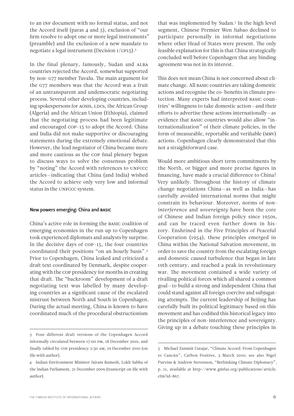to an INF document with no formal status, and not the Accord itself (paras 4 and 5), exclusion of "our firm resolve to adopt one or more legal instruments" (preamble) and the exclusion of a new mandate to negotiate a legal instrument (Decision 1/CP15).3

In the final plenary, famously, Sudan and ALBA countries rejected the Accord, somewhat supported by non-G77 member Tuvalu. The main argument for the G77 members was that the Accord was a fruit of an untransparent and undemocratic negotiating process. Several other developing countries, including spokespersons for AOSIS, LDCs, the African Group (Algeria) and the African Union (Ethiopia), claimed that the negotiating process had been legitimate and encouraged COP-15 to adopt the Accord. China and India did not make supportive or discouraging statements during the extremely emotional debate. However, the lead negotiator of China became more and more cautious as the COP final plenary begun to discuss ways to solve the consensus problem by "noting" the Accord with references to UNFCCC articles—indicating that China (and India) wished the Accord to achieve only very low and informal status in the UNFCCC system.

#### New powers emerging: China and BASIC

China's active role in forming the BASIC coalition of emerging economies in the run up to Copenhagen took experienced diplomats and analysts by surprise. In the decisive days of COP-15, the four countries coordinated their positions "on an hourly basis".4 Prior to Copenhagen, China leaked and criticized a draft text coordinated by Denmark, despite cooperating with the COP presidency for months in creating that draft. The "backroom" development of a draft negotiating text was labelled by many developing countries as a significant cause of the escalated mistrust between North and South in Copenhagen. During the actual meeting, China is known to have coordinated much of the procedural obstructionism

that was implemented by Sudan.5 In the high level segment, Chinese Premier Wen Jiabao declined to participate personally in informal negotiations where other Head of States were present. The only feasible explanation for this is that China strategically concluded well before Copenhagen that any binding agreement was not in its interest.

This does not mean China is not concerned about climate change. All BASIC countries are taking domestic actions and recognise the co-benefits in climate protection. Many experts had interpreted BASIC countries' willingness to take domestic action—and their efforts to advertise these actions internationally—as evidence that BASIC countries would also allow "internationalization" of their climate policies, in the form of measurable, reportable and verifiable (MRV) actions. Copenhagen clearly demonstrated that this not a straightforward case.

Would more ambitious short term commitments by the North, or bigger and more precise figures in financing, have made a crucial difference to China? Very unlikely. Throughout the history of climate change negotiations China—as well as India—has carefully avoided international norms that might constrain its behaviour. Moreover, norms of *noninterference* and *sovereignty* have been the core of Chinese and Indian foreign policy since 1950s, and can be traced even further down in history. Enshrined in the Five Principles of Peaceful Cooperation (1954), these principles emerged in China within the National Salvation movement, in order to save the country from the escalating foreign and domestic caused turbulence that began in late 19th century, and reached a peak in revolutionary war. The movement contained a wide variety of rivalling political forces which all shared a common goal—to build a strong and independent China that could stand against all foreign coercive and subjugating attempts. The current leadership of Beijing has carefully built its political legitimacy based on this movement and has codified this historical legacy into the principles of non-interference and sovereignty. Giving up in a debate touching these principles in

<sup>3</sup> Four different draft versions of the Copenhagen Accord informally circulated between 17:00 PM, 18 December 2010, and finally tabled by COP presidency 2:30 AM, 19 December 2010 (on file with author).

<sup>4</sup> Indian Environment Minister Jairam Ramesh, Lokh Sabha of the Indian Parliament, 21 December 2009 (transcript on file with author).

<sup>5</sup> Michael Zammit Cutajar, "Climate Accord: From Copenhagen to Cancún", Carbon Positive, 3 March 2010; see also Nigel Purvins & Andrew Stevenson, "Rethinking Climate Diplomacy", p. 11, available at http://www.gmfus.org/publications/article. cfm?id=867.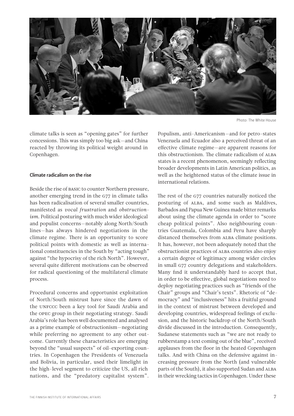

climate talks is seen as "opening gates" for further concessions. This was simply too big ask—and China reacted by throwing its political weight around in Copenhagen.

Climate radicalism on the rise

Beside the rise of BASIC to counter Northern pressure, another emerging trend in the G77 in climate talks has been radicalisation of several smaller countries, manifested as *vocal frustration* and *obstructionism*. Political posturing with much wider ideological and populist concerns—notably along North/South lines—has always hindered negotiations in the climate regime. There is an opportunity to score political points with domestic as well as international constituencies in the South by "acting tough" against "the hypocrisy of the rich North". However, several quite different motivations can be observed for radical questioning of the multilateral climate process.

Procedural concerns and opportunist exploitation of North/South mistrust have since the dawn of the UNFCCC been a key tool for Saudi Arabia and the OPEC group in their negotiating strategy. Saudi Arabia's role has been well documented and analysed as a prime example of obstructionism—negotiating while preferring no agreement to any other outcome. Currently these characteristics are emerging beyond the "usual suspects" of oil-exporting countries. In Copenhagen the Presidents of Venezuela and Bolivia, in particular, used their limelight in the high-level segment to criticize the US, all rich nations, and the "predatory capitalist system".

THE FINNISH INSTITUTE OF INTERNATIONAL AFFAIRS  $7\,$ 

Photo: The White House

Populism, anti-Americanism—and for petro-states Venezuela and Ecuador also a perceived threat of an effective climate regime—are apparent reasons for this obstructionism. The climate radicalism of ALBA states is a recent phenomenon, seemingly reflecting broader developments in Latin American politics, as well as the heightened status of the climate issue in international relations.

The rest of the G77 countries naturally noticed the posturing of ALBA, and some such as Maldives, Barbados and Papua New Guinea made bitter remarks about using the climate agenda in order to "score cheap political points". Also neighbouring countries Guatemala, Colombia and Peru have sharply distanced themselves from ALBA climate positions. It has, however, not been adequately noted that the obstructionist practices of ALBA countries also enjoy a certain degree of legitimacy among wider circles in small G77 country delegations and stakeholders. Many find it understandably hard to accept that, in order to be effective, global negotiations need to deploy negotiating practices such as "friends of the Chair" groups and "Chair's texts". Rhetoric of "democracy" and "inclusiveness" hits a fruitful ground in the context of mistrust between developed and developing countries, widespread feelings of exclusion, and the historic backdrop of the North/South divide discussed in the introduction. Consequently, Sudanese statements such as "we are not ready to rubberstamp a text coming out of the blue", received applauses from the floor in the heated Copenhagen talks. And with China on the defensive against increasing pressure from the North (and vulnerable parts of the South), it also supported Sudan and ALBA in their wrecking tactics in Copenhagen. Under these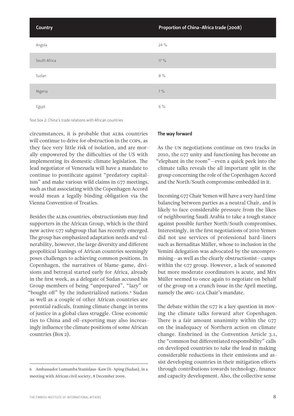| Country      | Proportion of China-Africa trade (2008) |
|--------------|-----------------------------------------|
| Angola       | $24\%$                                  |
| South Africa | $17\%$                                  |
| Sudan        | $8\%$                                   |
| Nigeria      | $7\%$                                   |
| Egypt        | $6\%$                                   |

#### Text box 2: China's trade relations with African countries

circumstances, it is probable that ALBA countries will continue to drive for obstruction in the COPs, as they face very little risk of isolation, and are morally empowered by the difficulties of the US with implementing its domestic climate legislation. The lead negotiator of Venezuela will have a mandate to continue to pontificate against "predatory capitalism" and make various wild claims in G77 meetings, such as that associating with the Copenhagen Accord would mean a legally binding obligation via the Vienna Convention of Treaties.

Besides the ALBA countries, obstructionism may find supporters in the African Group, which is the third new active G77 subgroup that has recently emerged. The group has emphasized adaptation needs and vulnerability, however, the large diversity and different geopolitical leanings of African countries seemingly poses challenges to achieving common positions. In Copenhagen, the narratives of blame-game, divisions and betrayal started early for Africa, already in the first week, as a delegate of Sudan accused his Group members of being "unprepared", "lazy" or "bought off" by the industrialized nations.<sup>6</sup> Sudan as well as a couple of other African countries are potential radicals, framing climate change in terms of justice in a global class struggle. Close economic ties to China and oil-exporting may also increasingly influence the climate positions of some African countries (Box 2).

#### The way forward

As the UN negotiations continue on two tracks in 2010, the G77 unity and functioning has become an "elephant in the room"—even a quick peek into the climate talks reveals the all important split in the group concerning the role of the Copenhagen Accord and the North/South compromise embedded in it.

Incoming G77 Chair Yemen will have a very hard time balancing between parties as a neutral Chair, and is likely to face considerable pressure from the likes of neighbouring Saudi Arabia to take a tough stance against possible further North/South compromises. Interestingly, in the first negotiations of 2010 Yemen did not use services of professional hard-liners such as Bernaditas Müller, whose to inclusion in the Yemini delegation was advocated by the uncompromising—as well as the clearly obstructionist—camps within the G77 group. However, a lack of seasoned but more moderate coordinators is acute, and Mrs Müller seemed to once again to negotiate on behalf of the group on a crunch issue in the April meeting, namely the AWG-LCA Chair's mandate.

The debate within the G77 is a key question in moving the climate talks forward after Copenhagen. There is a fair amount unanimity within the G77 on the inadequacy of Northern action on climate change. Enshrined in the Convention Article 3.1, the "common but differentiated responsibility" calls on developed countries to *take the lead* in making considerable reductions in their emissions and assist developing countries in their mitigation efforts through contributions towards technology, finance and capacity development. Also, the collective sense

<sup>6</sup> Ambassador Lumumba Stanislaus-Kaw Di-Aping (Sudan), in a meeting with African civil society, 8 December 2009.